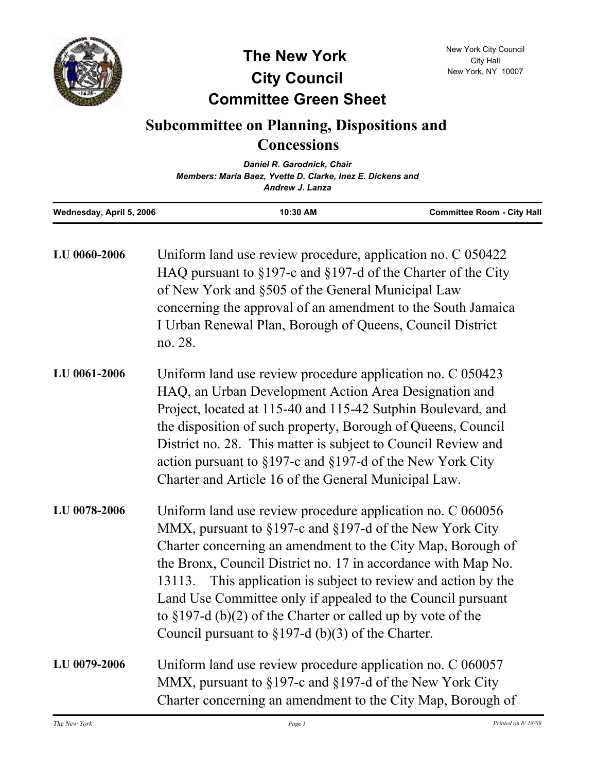

**The New York City Council**

## **Committee Green Sheet**

## **Subcommittee on Planning, Dispositions and Concessions**

|                          | Daniel R. Garodnick, Chair<br>Members: Maria Baez, Yvette D. Clarke, Inez E. Dickens and |                                   |
|--------------------------|------------------------------------------------------------------------------------------|-----------------------------------|
|                          |                                                                                          |                                   |
|                          | Andrew J. Lanza                                                                          |                                   |
| Wednesday, April 5, 2006 | 10:30 AM                                                                                 | <b>Committee Room - City Hall</b> |

| LU 0060-2006 | Uniform land use review procedure, application no. C 050422<br>HAQ pursuant to $§197$ -c and $§197$ -d of the Charter of the City<br>of New York and §505 of the General Municipal Law<br>concerning the approval of an amendment to the South Jamaica<br>I Urban Renewal Plan, Borough of Queens, Council District<br>no. 28.                                                                                                                                                                                     |
|--------------|--------------------------------------------------------------------------------------------------------------------------------------------------------------------------------------------------------------------------------------------------------------------------------------------------------------------------------------------------------------------------------------------------------------------------------------------------------------------------------------------------------------------|
| LU 0061-2006 | Uniform land use review procedure application no. C 050423<br>HAQ, an Urban Development Action Area Designation and<br>Project, located at 115-40 and 115-42 Sutphin Boulevard, and<br>the disposition of such property, Borough of Queens, Council<br>District no. 28. This matter is subject to Council Review and<br>action pursuant to $\S 197$ -c and $\S 197$ -d of the New York City<br>Charter and Article 16 of the General Municipal Law.                                                                |
| LU 0078-2006 | Uniform land use review procedure application no. C 060056<br>MMX, pursuant to §197-c and §197-d of the New York City<br>Charter concerning an amendment to the City Map, Borough of<br>the Bronx, Council District no. 17 in accordance with Map No.<br>13113. This application is subject to review and action by the<br>Land Use Committee only if appealed to the Council pursuant<br>to $\S 197-d$ (b)(2) of the Charter or called up by vote of the<br>Council pursuant to $\S 197-d$ (b)(3) of the Charter. |
| LU 0079-2006 | Uniform land use review procedure application no. C 060057<br>MMX, pursuant to §197-c and §197-d of the New York City<br>Charter concerning an amendment to the City Map, Borough of                                                                                                                                                                                                                                                                                                                               |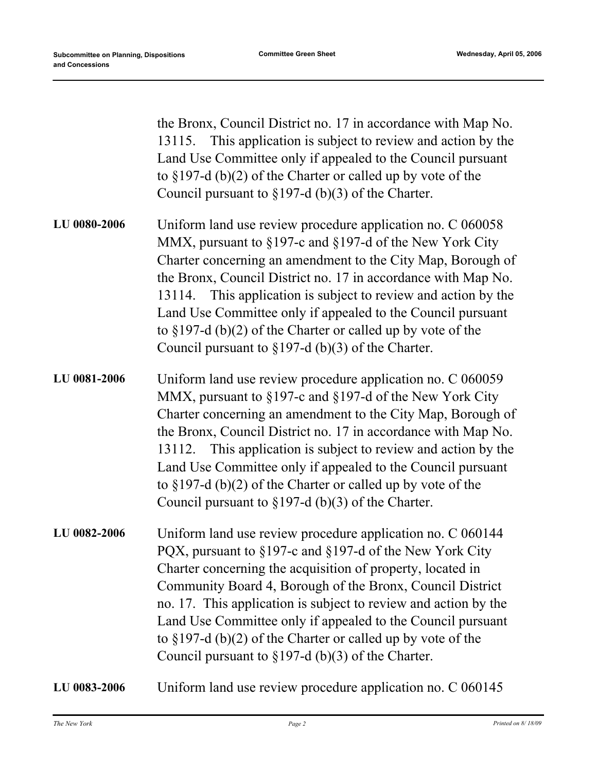|              | the Bronx, Council District no. 17 in accordance with Map No.<br>13115. This application is subject to review and action by the<br>Land Use Committee only if appealed to the Council pursuant<br>to $\S 197-d$ (b)(2) of the Charter or called up by vote of the<br>Council pursuant to $\S 197-d$ (b)(3) of the Charter.                                                                                                                                                                                         |
|--------------|--------------------------------------------------------------------------------------------------------------------------------------------------------------------------------------------------------------------------------------------------------------------------------------------------------------------------------------------------------------------------------------------------------------------------------------------------------------------------------------------------------------------|
| LU 0080-2006 | Uniform land use review procedure application no. C 060058<br>MMX, pursuant to §197-c and §197-d of the New York City<br>Charter concerning an amendment to the City Map, Borough of<br>the Bronx, Council District no. 17 in accordance with Map No.<br>13114. This application is subject to review and action by the<br>Land Use Committee only if appealed to the Council pursuant<br>to $\S 197-d$ (b)(2) of the Charter or called up by vote of the<br>Council pursuant to $\S 197-d$ (b)(3) of the Charter. |
| LU 0081-2006 | Uniform land use review procedure application no. C 060059<br>MMX, pursuant to §197-c and §197-d of the New York City<br>Charter concerning an amendment to the City Map, Borough of<br>the Bronx, Council District no. 17 in accordance with Map No.<br>13112. This application is subject to review and action by the<br>Land Use Committee only if appealed to the Council pursuant<br>to $\S 197-d$ (b)(2) of the Charter or called up by vote of the<br>Council pursuant to $\S 197-d$ (b)(3) of the Charter. |
| LU 0082-2006 | Uniform land use review procedure application no. C 060144<br>PQX, pursuant to §197-c and §197-d of the New York City<br>Charter concerning the acquisition of property, located in<br>Community Board 4, Borough of the Bronx, Council District<br>no. 17. This application is subject to review and action by the<br>Land Use Committee only if appealed to the Council pursuant<br>to $\S 197-d$ (b)(2) of the Charter or called up by vote of the<br>Council pursuant to $\S 197-d$ (b)(3) of the Charter.     |
| LU 0083-2006 | Uniform land use review procedure application no. C 060145                                                                                                                                                                                                                                                                                                                                                                                                                                                         |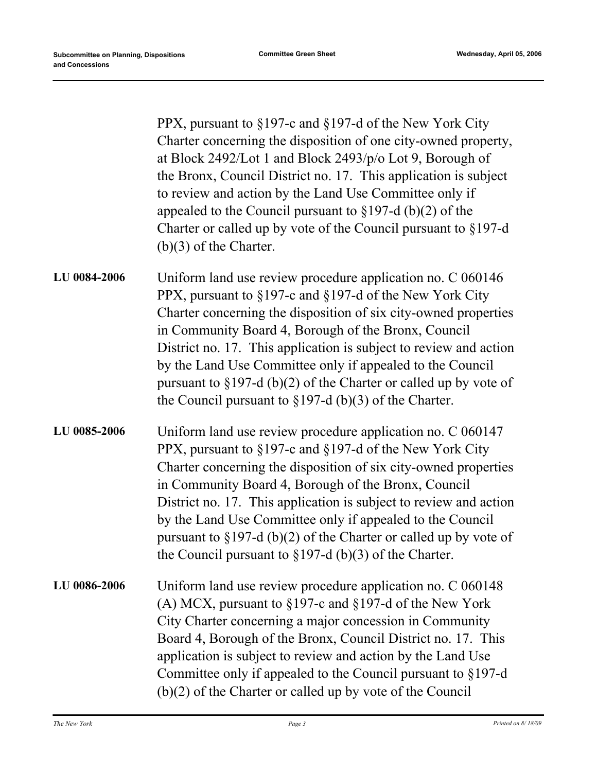|              | PPX, pursuant to §197-c and §197-d of the New York City<br>Charter concerning the disposition of one city-owned property,<br>at Block 2492/Lot 1 and Block 2493/p/o Lot 9, Borough of<br>the Bronx, Council District no. 17. This application is subject<br>to review and action by the Land Use Committee only if<br>appealed to the Council pursuant to $\S 197-d$ (b)(2) of the<br>Charter or called up by vote of the Council pursuant to $\S 197-d$<br>$(b)(3)$ of the Charter.                                   |
|--------------|------------------------------------------------------------------------------------------------------------------------------------------------------------------------------------------------------------------------------------------------------------------------------------------------------------------------------------------------------------------------------------------------------------------------------------------------------------------------------------------------------------------------|
| LU 0084-2006 | Uniform land use review procedure application no. C 060146<br>PPX, pursuant to §197-c and §197-d of the New York City<br>Charter concerning the disposition of six city-owned properties<br>in Community Board 4, Borough of the Bronx, Council<br>District no. 17. This application is subject to review and action<br>by the Land Use Committee only if appealed to the Council<br>pursuant to $\S 197-d$ (b)(2) of the Charter or called up by vote of<br>the Council pursuant to $\S 197-d$ (b)(3) of the Charter. |
| LU 0085-2006 | Uniform land use review procedure application no. C 060147<br>PPX, pursuant to §197-c and §197-d of the New York City<br>Charter concerning the disposition of six city-owned properties<br>in Community Board 4, Borough of the Bronx, Council<br>District no. 17. This application is subject to review and action<br>by the Land Use Committee only if appealed to the Council<br>pursuant to $\S 197-d$ (b)(2) of the Charter or called up by vote of<br>the Council pursuant to $\S 197-d$ (b)(3) of the Charter. |
| LU 0086-2006 | Uniform land use review procedure application no. C 060148<br>(A) MCX, pursuant to $\S 197$ -c and $\S 197$ -d of the New York<br>City Charter concerning a major concession in Community<br>Board 4, Borough of the Bronx, Council District no. 17. This<br>application is subject to review and action by the Land Use<br>Committee only if appealed to the Council pursuant to §197-d<br>$(b)(2)$ of the Charter or called up by vote of the Council                                                                |